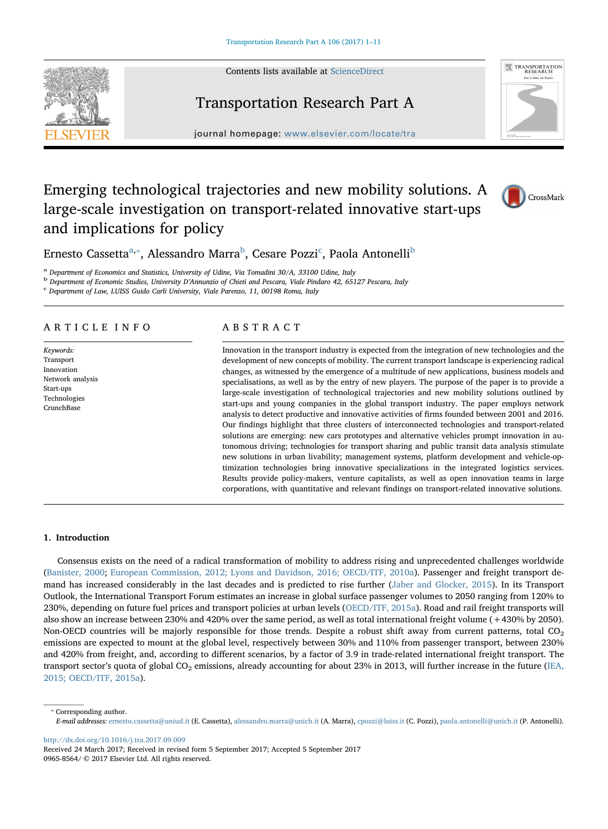Contents lists available at [ScienceDirect](http://www.sciencedirect.com/science/journal/09658564)



## Transportation Research Part A



journal homepage: [www.elsevier.com/locate/tra](http://www.elsevier.com/locate/tra)

## Emerging technological trajectories and new mobility solutions. A large-scale investigation on transport-related innovative start-ups and implications for policy



Ernesto Cassetta<sup>a,</sup>\*, Alessandro Marra<sup>b</sup>, Cesare Pozzi<sup>c</sup>, Paola Antonelli<sup>b</sup>

<sup>a</sup> Department of Economics and Statistics, University of Udine, Via Tomadini 30/A, 33100 Udine, Italy

<sup>b</sup> Department of Economic Studies, University D'Annunzio of Chieti and Pescara, Viale Pindaro 42, 65127 Pescara, Italy c Department of Law, LUISS Guido Carli University, Viale Parenzo, 11, 00198 Roma, Italy

#### ARTICLE INFO

Keywords: Transport Innovation Network analysis Start-ups Technologies **CrunchBase** 

### ABSTRACT

Innovation in the transport industry is expected from the integration of new technologies and the development of new concepts of mobility. The current transport landscape is experiencing radical changes, as witnessed by the emergence of a multitude of new applications, business models and specialisations, as well as by the entry of new players. The purpose of the paper is to provide a large-scale investigation of technological trajectories and new mobility solutions outlined by start-ups and young companies in the global transport industry. The paper employs network analysis to detect productive and innovative activities of firms founded between 2001 and 2016. Our findings highlight that three clusters of interconnected technologies and transport-related solutions are emerging: new cars prototypes and alternative vehicles prompt innovation in autonomous driving; technologies for transport sharing and public transit data analysis stimulate new solutions in urban livability; management systems, platform development and vehicle-optimization technologies bring innovative specializations in the integrated logistics services. Results provide policy-makers, venture capitalists, as well as open innovation teams in large corporations, with quantitative and relevant findings on transport-related innovative solutions.

### 1. Introduction

Consensus exists on the need of a radical transformation of mobility to address rising and unprecedented challenges worldwide (Banister, 2000; European Commission, 2012; Lyons and Davidson, 2016; OECD/ITF, 2010a). Passenger and freight transport demand has increased considerably in the last decades and is predicted to rise further (Jaber and Glocker, 2015). In its Transport Outlook, the International Transport Forum estimates an increase in global surface passenger volumes to 2050 ranging from 120% to 230%, depending on future fuel prices and transport policies at urban levels (OECD/ITF, 2015a). Road and rail freight transports will also show an increase between 230% and 420% over the same period, as well as total international freight volume (+430% by 2050). Non-OECD countries will be majorly responsible for those trends. Despite a robust shift away from current patterns, total CO<sub>2</sub> emissions are expected to mount at the global level, respectively between 30% and 110% from passenger transport, between 230% and 420% from freight, and, according to different scenarios, by a factor of 3.9 in trade-related international freight transport. The transport sector's quota of global  $CO<sub>2</sub>$  emissions, already accounting for about 23% in 2013, will further increase in the future (IEA, 2015; OECD/ITF, 2015a).

⁎ Corresponding author. E-mail addresses: [ernesto.cassetta@uniud.it](mailto:ernesto.cassetta@uniud.it) (E. Cassetta), [alessandro.marra@unich.it](mailto:alessandro.marra@unich.it) (A. Marra), [cpozzi@luiss.it](mailto:cpozzi@luiss.it) (C. Pozzi), [paola.antonelli@unich.it](mailto:paola.antonelli@unich.it) (P. Antonelli).

<http://dx.doi.org/10.1016/j.tra.2017.09.009>

Received 24 March 2017; Received in revised form 5 September 2017; Accepted 5 September 2017 0965-8564/ © 2017 Elsevier Ltd. All rights reserved.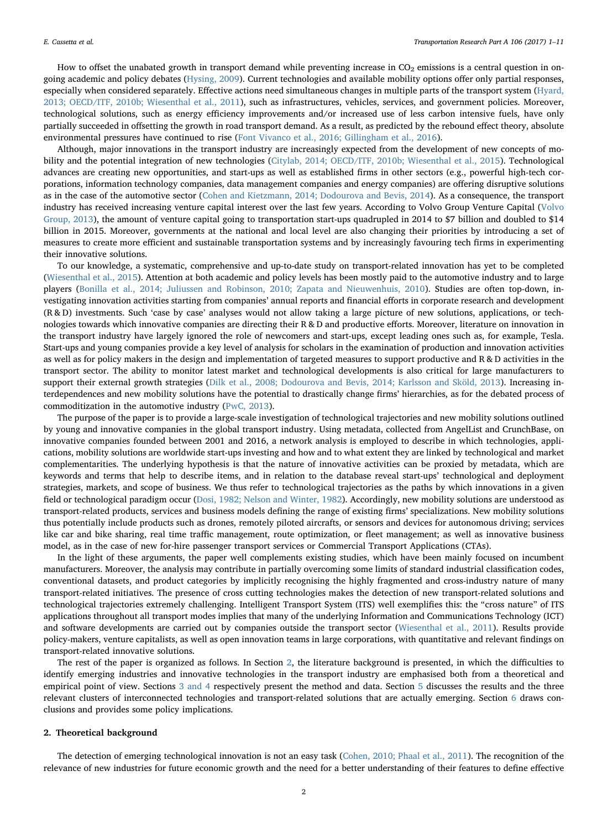How to offset the unabated growth in transport demand while preventing increase in  $CO<sub>2</sub>$  emissions is a central question in ongoing academic and policy debates (Hysing, 2009). Current technologies and available mobility options offer only partial responses, especially when considered separately. Effective actions need simultaneous changes in multiple parts of the transport system (Hyard, 2013; OECD/ITF, 2010b; Wiesenthal et al., 2011), such as infrastructures, vehicles, services, and government policies. Moreover, technological solutions, such as energy efficiency improvements and/or increased use of less carbon intensive fuels, have only partially succeeded in offsetting the growth in road transport demand. As a result, as predicted by the rebound effect theory, absolute environmental pressures have continued to rise (Font Vivanco et al., 2016; Gillingham et al., 2016).

Although, major innovations in the transport industry are increasingly expected from the development of new concepts of mobility and the potential integration of new technologies (Citylab, 2014; OECD/ITF, 2010b; Wiesenthal et al., 2015). Technological advances are creating new opportunities, and start-ups as well as established firms in other sectors (e.g., powerful high-tech corporations, information technology companies, data management companies and energy companies) are offering disruptive solutions as in the case of the automotive sector (Cohen and Kietzmann, 2014; Dodourova and Bevis, 2014). As a consequence, the transport industry has received increasing venture capital interest over the last few years. According to Volvo Group Venture Capital (Volvo Group, 2013), the amount of venture capital going to transportation start-ups quadrupled in 2014 to \$7 billion and doubled to \$14 billion in 2015. Moreover, governments at the national and local level are also changing their priorities by introducing a set of measures to create more efficient and sustainable transportation systems and by increasingly favouring tech firms in experimenting their innovative solutions.

To our knowledge, a systematic, comprehensive and up-to-date study on transport-related innovation has yet to be completed (Wiesenthal et al., 2015). Attention at both academic and policy levels has been mostly paid to the automotive industry and to large players (Bonilla et al., 2014; Juliussen and Robinson, 2010; Zapata and Nieuwenhuis, 2010). Studies are often top-down, investigating innovation activities starting from companies' annual reports and financial efforts in corporate research and development (R & D) investments. Such 'case by case' analyses would not allow taking a large picture of new solutions, applications, or technologies towards which innovative companies are directing their R & D and productive efforts. Moreover, literature on innovation in the transport industry have largely ignored the role of newcomers and start-ups, except leading ones such as, for example, Tesla. Start-ups and young companies provide a key level of analysis for scholars in the examination of production and innovation activities as well as for policy makers in the design and implementation of targeted measures to support productive and R & D activities in the transport sector. The ability to monitor latest market and technological developments is also critical for large manufacturers to support their external growth strategies (Dilk et al., 2008; Dodourova and Bevis, 2014; Karlsson and Sköld, 2013). Increasing interdependences and new mobility solutions have the potential to drastically change firms' hierarchies, as for the debated process of commoditization in the automotive industry (PwC, 2013).

The purpose of the paper is to provide a large-scale investigation of technological trajectories and new mobility solutions outlined by young and innovative companies in the global transport industry. Using metadata, collected from AngelList and CrunchBase, on innovative companies founded between 2001 and 2016, a network analysis is employed to describe in which technologies, applications, mobility solutions are worldwide start-ups investing and how and to what extent they are linked by technological and market complementarities. The underlying hypothesis is that the nature of innovative activities can be proxied by metadata, which are keywords and terms that help to describe items, and in relation to the database reveal start-ups' technological and deployment strategies, markets, and scope of business. We thus refer to technological trajectories as the paths by which innovations in a given field or technological paradigm occur (Dosi, 1982; Nelson and Winter, 1982). Accordingly, new mobility solutions are understood as transport-related products, services and business models defining the range of existing firms' specializations. New mobility solutions thus potentially include products such as drones, remotely piloted aircrafts, or sensors and devices for autonomous driving; services like car and bike sharing, real time traffic management, route optimization, or fleet management; as well as innovative business model, as in the case of new for-hire passenger transport services or Commercial Transport Applications (CTAs).

In the light of these arguments, the paper well complements existing studies, which have been mainly focused on incumbent manufacturers. Moreover, the analysis may contribute in partially overcoming some limits of standard industrial classification codes, conventional datasets, and product categories by implicitly recognising the highly fragmented and cross-industry nature of many transport-related initiatives. The presence of cross cutting technologies makes the detection of new transport-related solutions and technological trajectories extremely challenging. Intelligent Transport System (ITS) well exemplifies this: the "cross nature" of ITS applications throughout all transport modes implies that many of the underlying Information and Communications Technology (ICT) and software developments are carried out by companies outside the transport sector (Wiesenthal et al., 2011). Results provide policy-makers, venture capitalists, as well as open innovation teams in large corporations, with quantitative and relevant findings on transport-related innovative solutions.

The rest of the paper is organized as follows. In Section 2, the literature background is presented, in which the difficulties to identify emerging industries and innovative technologies in the transport industry are emphasised both from a theoretical and empirical point of view. Sections 3 and 4 respectively present the method and data. Section 5 discusses the results and the three relevant clusters of interconnected technologies and transport-related solutions that are actually emerging. Section 6 draws conclusions and provides some policy implications.

#### 2. Theoretical background

The detection of emerging technological innovation is not an easy task (Cohen, 2010; Phaal et al., 2011). The recognition of the relevance of new industries for future economic growth and the need for a better understanding of their features to define effective